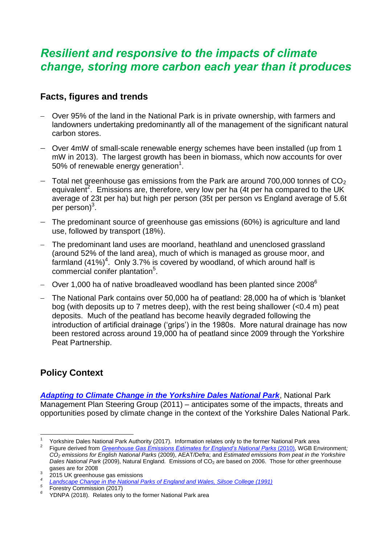## *Resilient and responsive to the impacts of climate change, storing more carbon each year than it produces*

## **Facts, figures and trends**

- Over 95% of the land in the National Park is in private ownership, with farmers and landowners undertaking predominantly all of the management of the significant natural carbon stores.
- Over 4mW of small-scale renewable energy schemes have been installed (up from 1 mW in 2013). The largest growth has been in biomass, which now accounts for over 50% of renewable energy generation<sup>1</sup>.
- $-$  Total net greenhouse gas emissions from the Park are around 700,000 tonnes of CO<sub>2</sub> equivalent<sup>2</sup>. Emissions are, therefore, very low per ha (4t per ha compared to the UK average of 23t per ha) but high per person (35t per person vs England average of 5.6t per person)<sup>3</sup>.
- The predominant source of greenhouse gas emissions (60%) is agriculture and land use, followed by transport (18%).
- The predominant land uses are moorland, heathland and unenclosed grassland (around 52% of the land area), much of which is managed as grouse moor, and farmland  $(41\%)^4$ . Only 3.7% is covered by woodland, of which around half is commercial conifer plantation<sup>5</sup>.
- Over 1,000 ha of native broadleaved woodland has been planted since 2008 $^6$
- The National Park contains over 50,000 ha of peatland: 28,000 ha of which is 'blanket bog (with deposits up to 7 metres deep), with the rest being shallower (<0.4 m) peat deposits. Much of the peatland has become heavily degraded following the introduction of artificial drainage ('grips') in the 1980s. More natural drainage has now been restored across around 19,000 ha of peatland since 2009 through the Yorkshire Peat Partnership.

## **Policy Context**

l

*[Adapting to Climate Change in the Yorkshire Dales National Park](https://yorkshiredales.npuk-wp.uk/wp-content/uploads/sites/13/2019/08/Adapting-to-climate-change-in-the-YDNP-final-report.pdf)*, National Park Management Plan Steering Group (2011) – anticipates some of the impacts, threats and opportunities posed by climate change in the context of the Yorkshire Dales National Park.

<sup>3</sup> 2015 UK greenhouse gas emissions

<sup>1</sup> Yorkshire Dales National Park Authority (2017). Information relates only to the former National Park area 2 Figure derived from *[Greenhouse Gas Emissions Estimates for England's National Parks](https://www.peakdistrict.gov.uk/__data/assets/pdf_file/0003/327720/Greenhouse-Gas-Emissions-Estimates-National-Parks-Final.pdf) (2010)*, WGB Environment; *CO<sup>2</sup> emissions for English National Parks* (2009), AEAT/Defra; and *Estimated emissions from peat in the Yorkshire* 

*Dales National Park (2009), Natural England. Emissions of CO<sub>2</sub> are based on 2006. Those for other greenhouse* gases are for 2008

*[Landscape Change in the National Parks of England and Wales, Silsoe College \(1991\)](http://www.google.co.uk/url?sa=t&rct=j&q=&esrc=s&source=web&cd=1&cad=rja&uact=8&ved=2ahUKEwir7PSX7LjgAhWLVxUIHSxLC7gQFjAAegQICRAC&url=http%3A%2F%2Fpublications.naturalengland.org.uk%2Ffile%2F6075008044498944&usg=AOvVaw0jeB0kklVrTXYMNqhXo_XC) 5*

Forestry Commission (2017)

*<sup>6</sup>* YDNPA (2018). Relates only to the former National Park area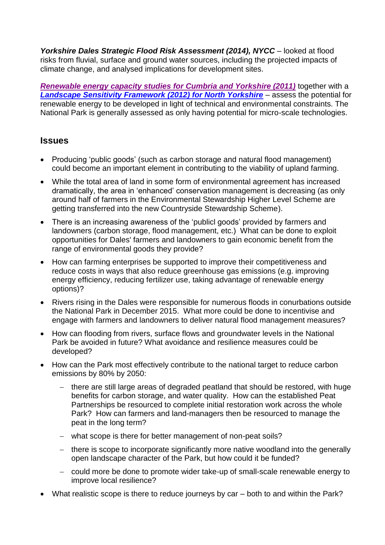Yorkshire Dales Strategic Flood Risk Assessment (2014), NYCC - looked at flood risks from fluvial, surface and ground water sources, including the projected impacts of climate change, and analysed implications for development sites.

*Renewable energy [capacity studies for Cumbria and Yorkshire \(2011\)](https://www.cumbria.gov.uk/eLibrary/Content/Internet/538/755/1599/40890154140.pdf)* together with a *[Landscape Sensitivity Framework \(2012\) for North Yorkshire](https://www.cravendc.gov.uk/media/3038/nyy_landscape_sensitivity_framework_february_2012_final_28-02-12_.pdf)* – assess the potential for renewable energy to be developed in light of technical and environmental constraints. The National Park is generally assessed as only having potential for micro-scale technologies.

## **Issues**

- Producing 'public goods' (such as carbon storage and natural flood management) could become an important element in contributing to the viability of upland farming.
- While the total area of land in some form of environmental agreement has increased dramatically, the area in 'enhanced' conservation management is decreasing (as only around half of farmers in the Environmental Stewardship Higher Level Scheme are getting transferred into the new Countryside Stewardship Scheme).
- There is an increasing awareness of the 'publicl goods' provided by farmers and landowners (carbon storage, flood management, etc.) What can be done to exploit opportunities for Dales' farmers and landowners to gain economic benefit from the range of environmental goods they provide?
- How can farming enterprises be supported to improve their competitiveness and reduce costs in ways that also reduce greenhouse gas emissions (e.g. improving energy efficiency, reducing fertilizer use, taking advantage of renewable energy options)?
- Rivers rising in the Dales were responsible for numerous floods in conurbations outside the National Park in December 2015. What more could be done to incentivise and engage with farmers and landowners to deliver natural flood management measures?
- How can flooding from rivers, surface flows and groundwater levels in the National Park be avoided in future? What avoidance and resilience measures could be developed?
- How can the Park most effectively contribute to the national target to reduce carbon emissions by 80% by 2050:
	- there are still large areas of degraded peatland that should be restored, with huge benefits for carbon storage, and water quality. How can the established Peat Partnerships be resourced to complete initial restoration work across the whole Park? How can farmers and land-managers then be resourced to manage the peat in the long term?
	- what scope is there for better management of non-peat soils?
	- there is scope to incorporate significantly more native woodland into the generally open landscape character of the Park, but how could it be funded?
	- could more be done to promote wider take-up of small-scale renewable energy to improve local resilience?
- What realistic scope is there to reduce journeys by car both to and within the Park?